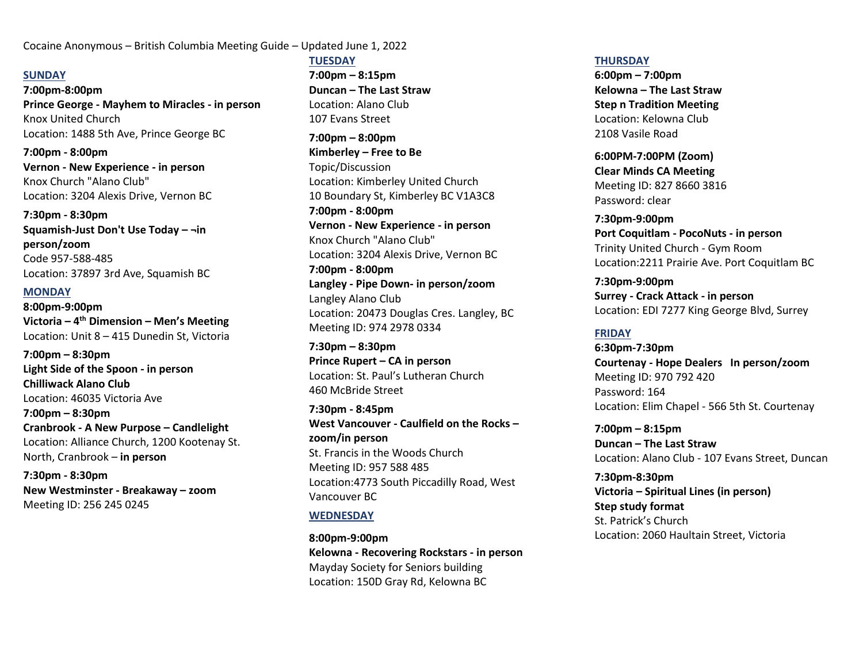Cocaine Anonymous – British Columbia Meeting Guide – Updated June 1, 2022

### **SUNDAY**

**7:00pm-8:00pm Prince George - Mayhem to Miracles - in person**  Knox United Church Location: 1488 5th Ave, Prince George BC

**7:00pm - 8:00pm Vernon - New Experience - in person** Knox Church "Alano Club" Location: 3204 Alexis Drive, Vernon BC

**7:30pm - 8:30pm Squamish-Just Don't Use Today – ¬in person/zoom** Code 957-588-485 Location: 37897 3rd Ave, Squamish BC

#### **MONDAY**

**8:00pm-9:00pm Victoria – 4 th Dimension – Men's Meeting** Location: Unit 8 – 415 Dunedin St, Victoria

**7:00pm – 8:30pm Light Side of the Spoon - in person Chilliwack Alano Club** Location: 46035 Victoria Ave **7:00pm – 8:30pm Cranbrook - A New Purpose – Candlelight**  Location: Alliance Church, 1200 Kootenay St. North, Cranbrook – **in person**

**7:30pm - 8:30pm New Westminster - Breakaway – zoom**  Meeting ID: 256 245 0245

**TUESDAY 7:00pm – 8:15pm Duncan – The Last Straw** Location: Alano Club 107 Evans Street

**7:00pm – 8:00pm Kimberley – Free to Be** Topic/Discussion Location: Kimberley United Church 10 Boundary St, Kimberley BC V1A3C8 **7:00pm - 8:00pm Vernon - New Experience - in person** Knox Church "Alano Club" Location: 3204 Alexis Drive, Vernon BC **7:00pm - 8:00pm Langley - Pipe Down- in person/zoom** Langley Alano Club Location: 20473 Douglas Cres. Langley, B[C](https://us02web.zoom.us/j/9794827147) [Meeting ID: 974 2978 0334](https://us02web.zoom.us/j/9794827147)

**7:30pm – 8:30pm Prince Rupert – CA in person** Location: St. Paul's Lutheran Church 460 McBride Street

**7:30pm - 8:45pm West Vancouver - Caulfield on the Rocks – zoom/in person** St. Francis in the Woods Church Meeting ID: 957 588 485 Location:4773 South Piccadilly Road, West Vancouver BC

# **WEDNESDAY**

**8:00pm-9:00pm Kelowna - Recovering Rockstars - in person** Mayday Society for Seniors building Location: 150D Gray Rd, Kelowna BC

#### **THURSDAY**

**6:00pm – 7:00pm Kelowna – The Last Straw Step n Tradition Meeting** Location: Kelowna Club 2108 Vasile Road

**6:00PM-7:00PM (Zoom) Clear Minds CA Meeting** Meeting ID: 827 8660 3816 Password: clear

**7:30pm-9:00pm Port Coquitlam - PocoNuts - in person**  Trinity United Church - Gym Room Location:2211 Prairie Ave. Port Coquitlam BC

**7:30pm-9:00pm Surrey - Crack Attack - in person**  Location: EDI 7277 King George Blvd, Surrey

# **FRIDAY**

**6:30pm-7:30pm Courtenay - Hope Dealers In person/zoom**  Meeting ID: 970 792 420 Password: 164 Location: Elim Chapel - 566 5th St. Courtenay

**7:00pm – 8:15pm Duncan – The Last Straw** Location: Alano Club - 107 Evans Street, Duncan

**7:30pm-8:30pm Victoria – Spiritual Lines (in person) Step study format** St. Patrick's Church Location: 2060 Haultain Street, Victoria